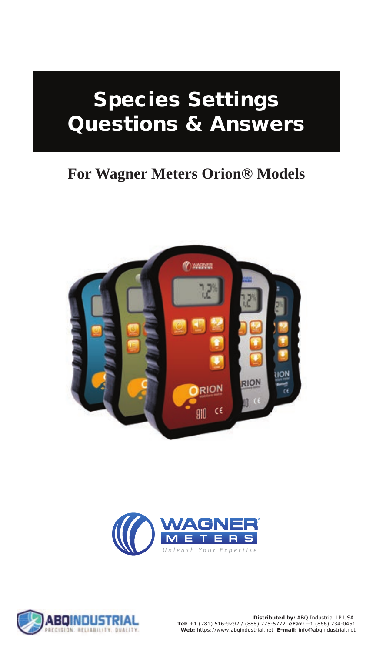# Species Settings Questions & Answers

## **For Wagner Meters Orion® Models**





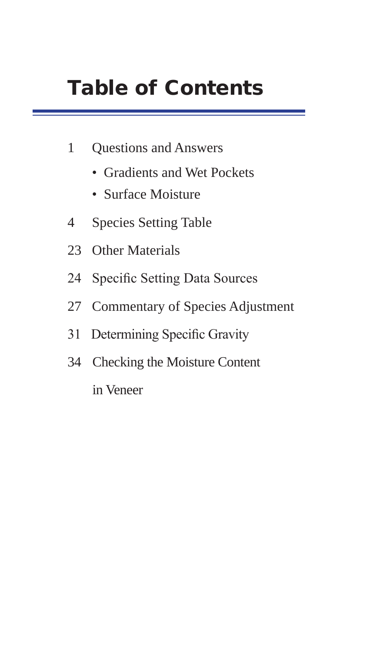# Table of Contents

- 1 Questions and Answers
	- Gradients and Wet Pockets
	- Surface Moisture
- 4 Species Setting Table
- 23 Other Materials
- 24 Specific Setting Data Sources
- 27 Commentary of Species Adjustment
- 31 Determining Specific Gravity
- 34 Checking the Moisture Content
	- in Veneer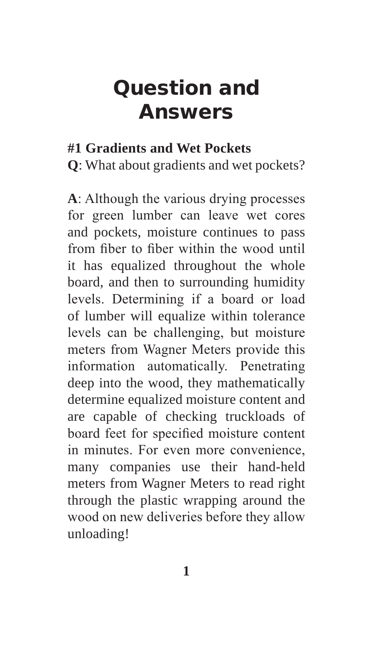## Question and Answers

### **#1 Gradients and Wet Pockets**

**Q**: What about gradients and wet pockets?

**A**: Although the various drying processes for green lumber can leave wet cores and pockets, moisture continues to pass from fiber to fiber within the wood until it has equalized throughout the whole board, and then to surrounding humidity levels. Determining if a board or load of lumber will equalize within tolerance levels can be challenging, but moisture meters from Wagner Meters provide this information automatically. Penetrating deep into the wood, they mathematically determine equalized moisture content and are capable of checking truckloads of board feet for specified moisture content in minutes. For even more convenience, many companies use their hand-held meters from Wagner Meters to read right through the plastic wrapping around the wood on new deliveries before they allow unloading!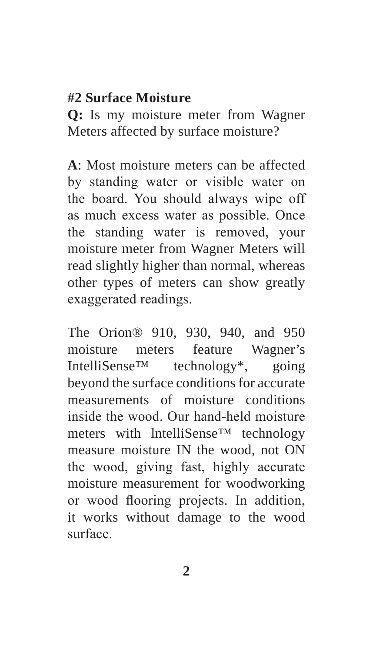## **#2 Surface Moisture**

**Q:** Is my moisture meter from Wagner Meters affected by surface moisture?

**A**: Most moisture meters can be affected by standing water or visible water on the board. You should always wipe off as much excess water as possible. Once the standing water is removed, your moisture meter from Wagner Meters will read slightly higher than normal, whereas other types of meters can show greatly exaggerated readings.

The Orion® 910, 930, 940, and 950 moisture meters feature Wagner's IntelliSense™ technology\*, going beyond the surface conditions for accurate measurements of moisture conditions inside the wood. Our hand-held moisture meters with lntelliSense™ technology measure moisture IN the wood, not ON the wood, giving fast, highly accurate moisture measurement for woodworking or wood flooring projects. In addition, it works without damage to the wood surface.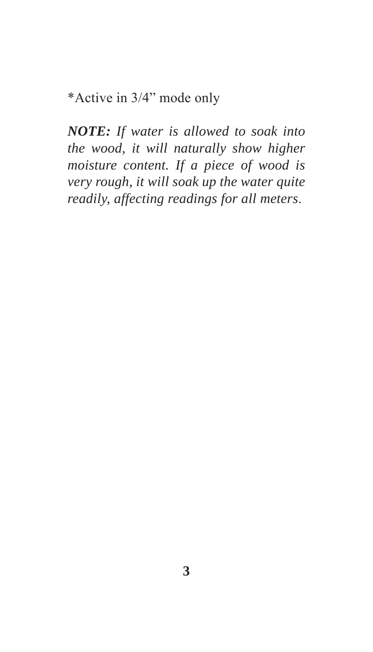\*Active in 3/4" mode only

*NOTE: If water is allowed to soak into the wood, it will naturally show higher moisture content. If a piece of wood is very rough, it will soak up the water quite readily, affecting readings for all meters*.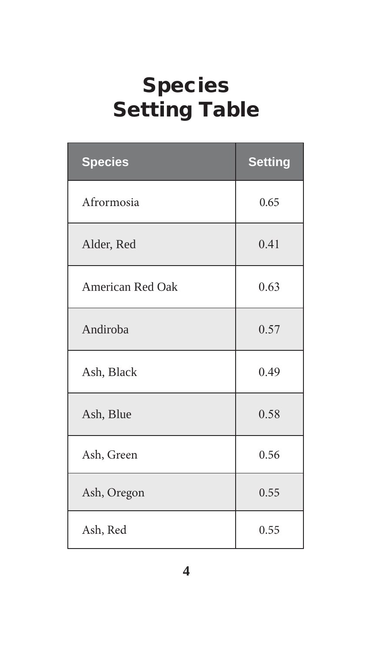# Species Setting Table

| <b>Species</b>   | <b>Setting</b> |
|------------------|----------------|
| Afrormosia       | 0.65           |
| Alder, Red       | 0.41           |
| American Red Oak | 0.63           |
| Andiroba         | 0.57           |
| Ash, Black       | 0.49           |
| Ash, Blue        | 0.58           |
| Ash, Green       | 0.56           |
| Ash, Oregon      | 0.55           |
| Ash, Red         | 0.55           |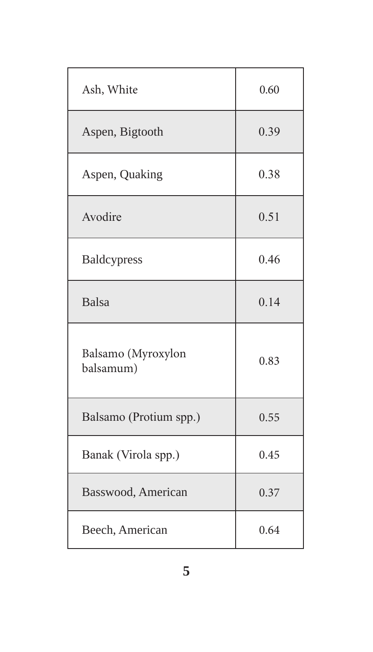| Ash, White                      | 0.60 |
|---------------------------------|------|
| Aspen, Bigtooth                 | 0.39 |
| Aspen, Quaking                  | 0.38 |
| Avodire                         | 0.51 |
| Baldcypress                     | 0.46 |
| <b>Balsa</b>                    | 0.14 |
| Balsamo (Myroxylon<br>balsamum) | 0.83 |
| Balsamo (Protium spp.)          | 0.55 |
| Banak (Virola spp.)             | 0.45 |
| Basswood, American              | 0.37 |
| Beech, American                 | 0.64 |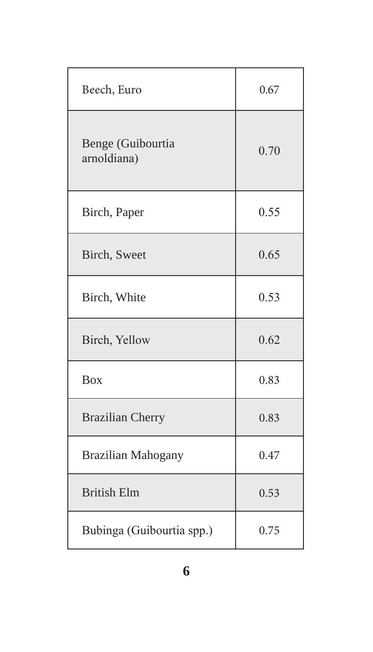| Beech, Euro                      | 0.67 |
|----------------------------------|------|
| Benge (Guibourtia<br>arnoldiana) | 0.70 |
| Birch, Paper                     | 0.55 |
| Birch, Sweet                     | 0.65 |
| Birch, White                     | 0.53 |
| Birch, Yellow                    | 0.62 |
| <b>Box</b>                       | 0.83 |
| <b>Brazilian Cherry</b>          | 0.83 |
| Brazilian Mahogany               | 0.47 |
| <b>British Elm</b>               | 0.53 |
| Bubinga (Guibourtia spp.)        | 0.75 |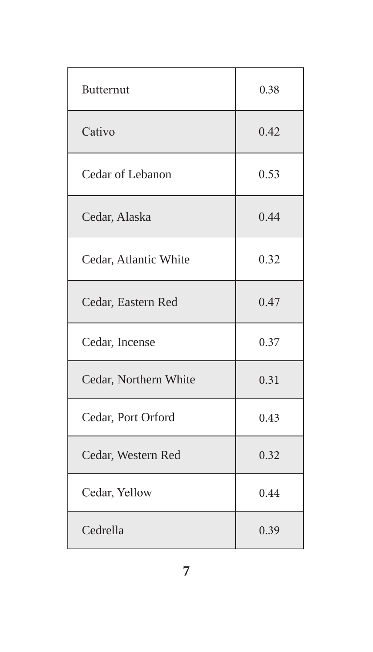| Butternut             | 0.38 |
|-----------------------|------|
| Cativo                | 0.42 |
| Cedar of Lebanon      | 0.53 |
| Cedar, Alaska         | 0.44 |
| Cedar, Atlantic White | 0.32 |
| Cedar, Eastern Red    | 0.47 |
| Cedar, Incense        | 0.37 |
| Cedar, Northern White | 0.31 |
| Cedar, Port Orford    | 0.43 |
| Cedar, Western Red    | 0.32 |
| Cedar, Yellow         | 0.44 |
| Cedrella              | 0.39 |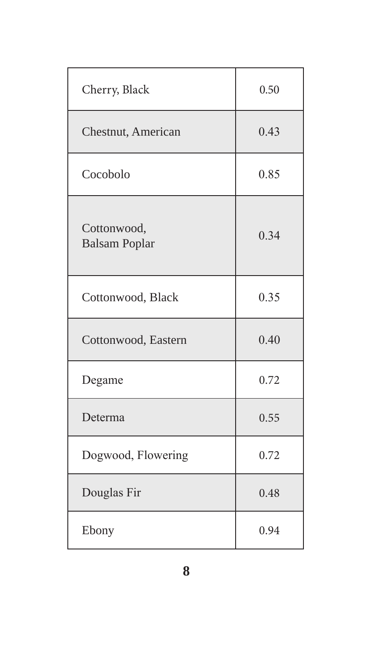| Cherry, Black                       | 0.50 |
|-------------------------------------|------|
| Chestnut, American                  | 0.43 |
| Cocobolo                            | 0.85 |
| Cottonwood,<br><b>Balsam Poplar</b> | 0.34 |
| Cottonwood, Black                   | 0.35 |
| Cottonwood, Eastern                 | 0.40 |
| Degame                              | 0.72 |
| Determa                             | 0.55 |
| Dogwood, Flowering                  | 0.72 |
| Douglas Fir                         | 0.48 |
| Ebony                               | 0.94 |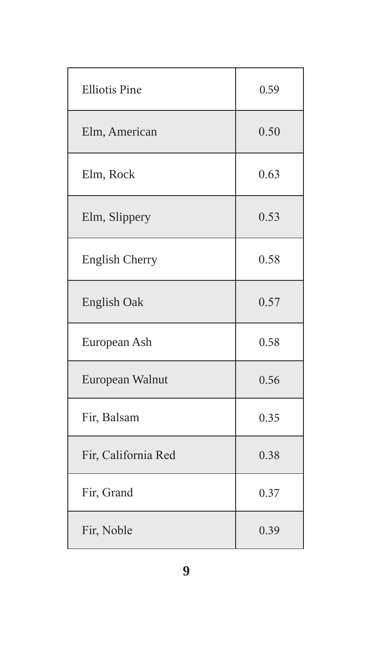| <b>Elliotis Pine</b> | 0.59 |
|----------------------|------|
| Elm, American        | 0.50 |
| Elm, Rock            | 0.63 |
| Elm, Slippery        | 0.53 |
| English Cherry       | 0.58 |
| English Oak          | 0.57 |
| European Ash         | 0.58 |
| European Walnut      | 0.56 |
| Fir, Balsam          | 0.35 |
| Fir, California Red  | 0.38 |
| Fir, Grand           | 0.37 |
| Fir, Noble           | 0.39 |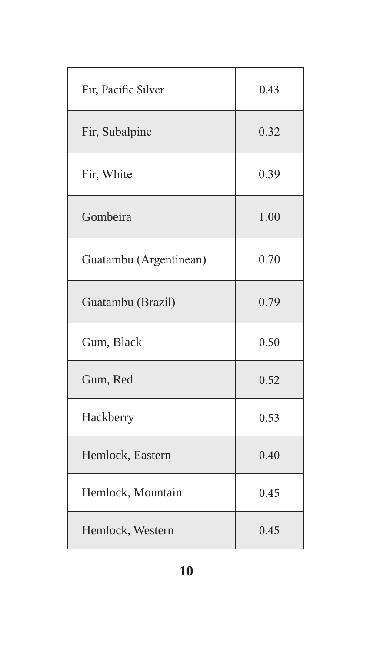| Fir, Pacific Silver    | 0.43 |
|------------------------|------|
| Fir, Subalpine         | 0.32 |
| Fir, White             | 0.39 |
| Gombeira               | 1.00 |
| Guatambu (Argentinean) | 0.70 |
| Guatambu (Brazil)      | 0.79 |
| Gum, Black             | 0.50 |
| Gum, Red               | 0.52 |
| Hackberry              | 0.53 |
| Hemlock, Eastern       | 0.40 |
| Hemlock, Mountain      | 0.45 |
| Hemlock, Western       | 0.45 |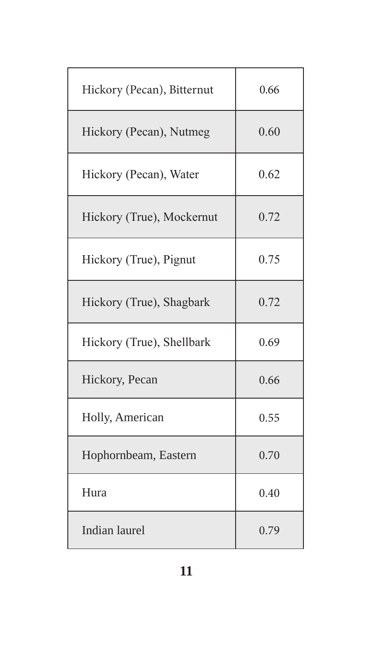| Hickory (Pecan), Bitternut | 0.66 |
|----------------------------|------|
| Hickory (Pecan), Nutmeg    | 0.60 |
| Hickory (Pecan), Water     | 0.62 |
| Hickory (True), Mockernut  | 0.72 |
| Hickory (True), Pignut     | 0.75 |
| Hickory (True), Shagbark   | 0.72 |
| Hickory (True), Shellbark  | 0.69 |
| Hickory, Pecan             | 0.66 |
| Holly, American            | 0.55 |
| Hophornbeam, Eastern       | 0.70 |
| Hura                       | 0.40 |
| Indian laurel              | 0.79 |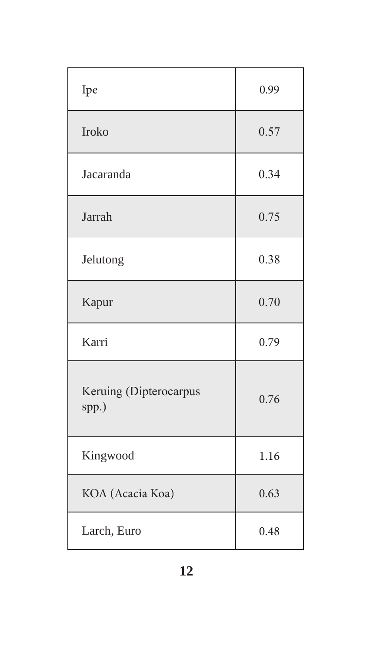| Ipe                             | 0.99 |
|---------------------------------|------|
| Iroko                           | 0.57 |
| Jacaranda                       | 0.34 |
| Jarrah                          | 0.75 |
| Jelutong                        | 0.38 |
| Kapur                           | 0.70 |
| Karri                           | 0.79 |
| Keruing (Dipterocarpus<br>spp.) | 0.76 |
| Kingwood                        | 1.16 |
| KOA (Acacia Koa)                | 0.63 |
| Larch, Euro                     | 0.48 |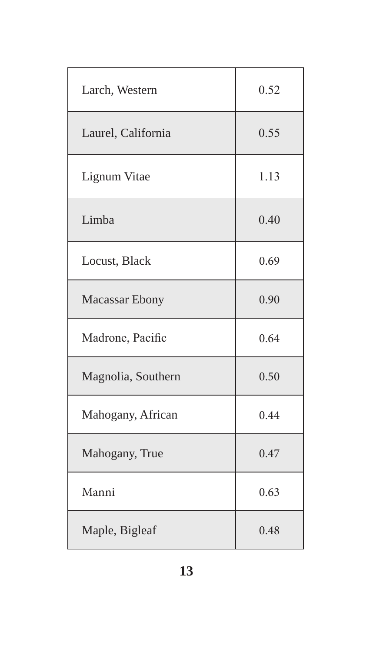| Larch, Western     | 0.52 |
|--------------------|------|
| Laurel, California | 0.55 |
| Lignum Vitae       | 1.13 |
| Limba              | 0.40 |
| Locust, Black      | 0.69 |
| Macassar Ebony     | 0.90 |
| Madrone, Pacific   | 0.64 |
| Magnolia, Southern | 0.50 |
| Mahogany, African  | 0.44 |
| Mahogany, True     | 0.47 |
| Manni              | 0.63 |
| Maple, Bigleaf     | 0.48 |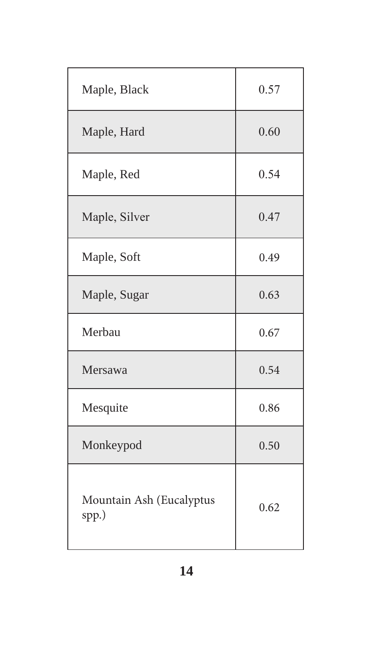| Maple, Black                      | 0.57 |
|-----------------------------------|------|
| Maple, Hard                       | 0.60 |
| Maple, Red                        | 0.54 |
| Maple, Silver                     | 0.47 |
| Maple, Soft                       | 0.49 |
| Maple, Sugar                      | 0.63 |
| Merbau                            | 0.67 |
| Mersawa                           | 0.54 |
| Mesquite                          | 0.86 |
| Monkeypod                         | 0.50 |
| Mountain Ash (Eucalyptus<br>spp.) | 0.62 |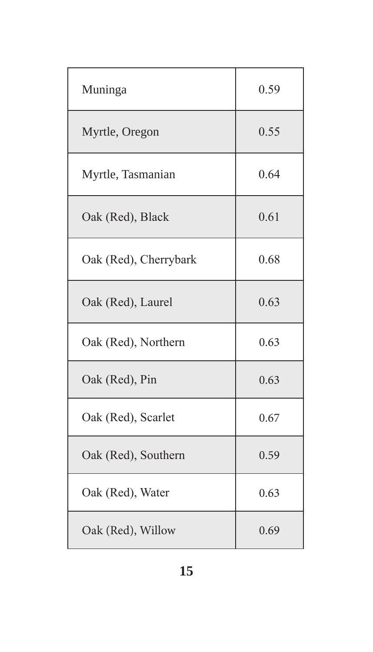| Muninga               | 0.59 |
|-----------------------|------|
| Myrtle, Oregon        | 0.55 |
| Myrtle, Tasmanian     | 0.64 |
| Oak (Red), Black      | 0.61 |
| Oak (Red), Cherrybark | 0.68 |
| Oak (Red), Laurel     | 0.63 |
| Oak (Red), Northern   | 0.63 |
| Oak (Red), Pin        | 0.63 |
| Oak (Red), Scarlet    | 0.67 |
| Oak (Red), Southern   | 0.59 |
| Oak (Red), Water      | 0.63 |
| Oak (Red), Willow     | 0.69 |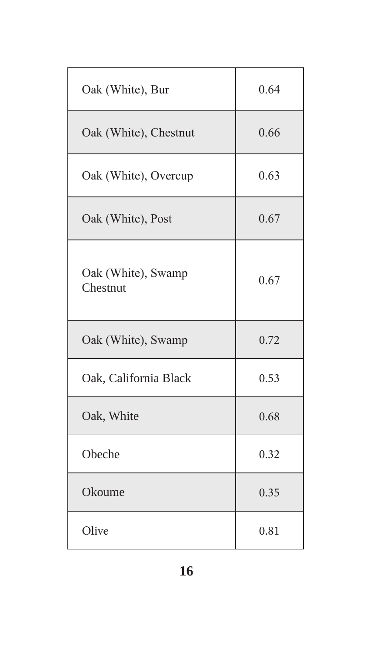| Oak (White), Bur               | 0.64 |
|--------------------------------|------|
| Oak (White), Chestnut          | 0.66 |
| Oak (White), Overcup           | 0.63 |
| Oak (White), Post              | 0.67 |
| Oak (White), Swamp<br>Chestnut | 0.67 |
| Oak (White), Swamp             | 0.72 |
| Oak, California Black          | 0.53 |
| Oak, White                     | 0.68 |
| Obeche                         | 0.32 |
| Okoume                         | 0.35 |
| Olive                          | 0.81 |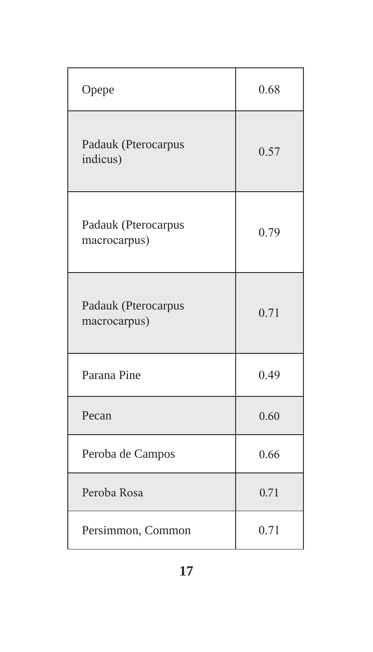| Opepe                               | 0.68 |
|-------------------------------------|------|
| Padauk (Pterocarpus<br>indicus)     | 0.57 |
| Padauk (Pterocarpus<br>macrocarpus) | 0.79 |
| Padauk (Pterocarpus<br>macrocarpus) | 0.71 |
| Parana Pine                         | 0.49 |
| Pecan                               | 0.60 |
| Peroba de Campos                    | 0.66 |
| Peroba Rosa                         | 0.71 |
| Persimmon, Common                   | 0.71 |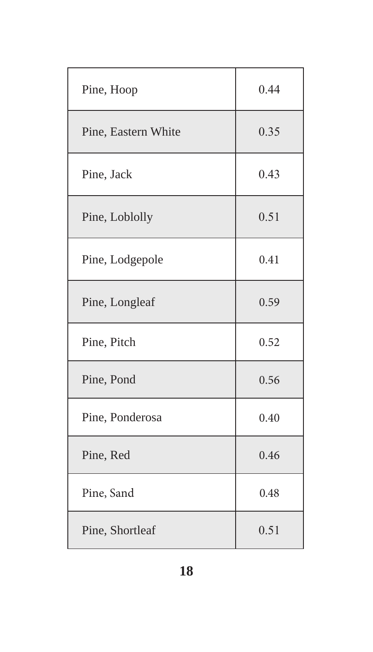| Pine, Hoop          | 0.44 |
|---------------------|------|
| Pine, Eastern White | 0.35 |
| Pine, Jack          | 0.43 |
| Pine, Loblolly      | 0.51 |
| Pine, Lodgepole     | 0.41 |
| Pine, Longleaf      | 0.59 |
| Pine, Pitch         | 0.52 |
| Pine, Pond          | 0.56 |
| Pine, Ponderosa     | 0.40 |
| Pine, Red           | 0.46 |
| Pine, Sand          | 0.48 |
| Pine, Shortleaf     | 0.51 |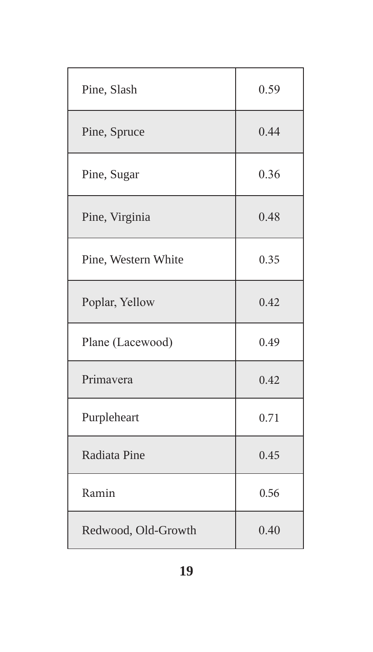| Pine, Slash         | 0.59 |
|---------------------|------|
| Pine, Spruce        | 0.44 |
| Pine, Sugar         | 0.36 |
| Pine, Virginia      | 0.48 |
| Pine, Western White | 0.35 |
| Poplar, Yellow      | 0.42 |
| Plane (Lacewood)    | 0.49 |
| Primavera           | 0.42 |
| Purpleheart         | 0.71 |
| Radiata Pine        | 0.45 |
| Ramin               | 0.56 |
| Redwood, Old-Growth | 0.40 |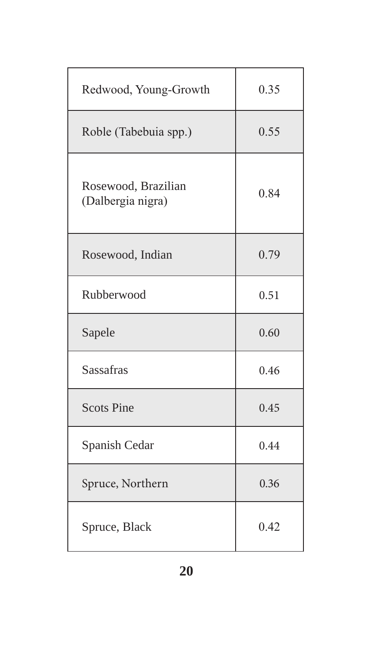| Redwood, Young-Growth                    | 0.35 |
|------------------------------------------|------|
| Roble (Tabebuia spp.)                    | 0.55 |
| Rosewood, Brazilian<br>(Dalbergia nigra) | 0.84 |
| Rosewood, Indian                         | 0.79 |
| Rubberwood                               | 0.51 |
| Sapele                                   | 0.60 |
| Sassafras                                | 0.46 |
| <b>Scots Pine</b>                        | 0.45 |
| Spanish Cedar                            | 0.44 |
| Spruce, Northern                         | 0.36 |
| Spruce, Black                            | 0.42 |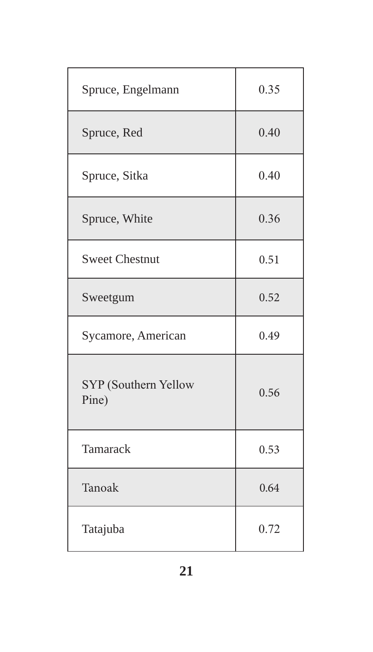| Spruce, Engelmann             | 0.35 |
|-------------------------------|------|
| Spruce, Red                   | 0.40 |
| Spruce, Sitka                 | 0.40 |
| Spruce, White                 | 0.36 |
| <b>Sweet Chestnut</b>         | 0.51 |
| Sweetgum                      | 0.52 |
| Sycamore, American            | 0.49 |
| SYP (Southern Yellow<br>Pine) | 0.56 |
| Tamarack                      | 0.53 |
| Tanoak                        | 0.64 |
| Tatajuba                      | 0.72 |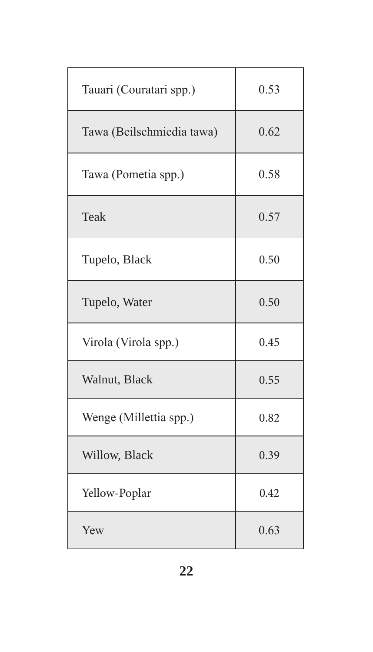| Tauari (Couratari spp.)   | 0.53 |
|---------------------------|------|
| Tawa (Beilschmiedia tawa) | 0.62 |
| Tawa (Pometia spp.)       | 0.58 |
| Teak                      | 0.57 |
| Tupelo, Black             | 0.50 |
| Tupelo, Water             | 0.50 |
| Virola (Virola spp.)      | 0.45 |
| Walnut, Black             | 0.55 |
| Wenge (Millettia spp.)    | 0.82 |
| Willow, Black             | 0.39 |
| Yellow-Poplar             | 0.42 |
| Yew                       | 0.63 |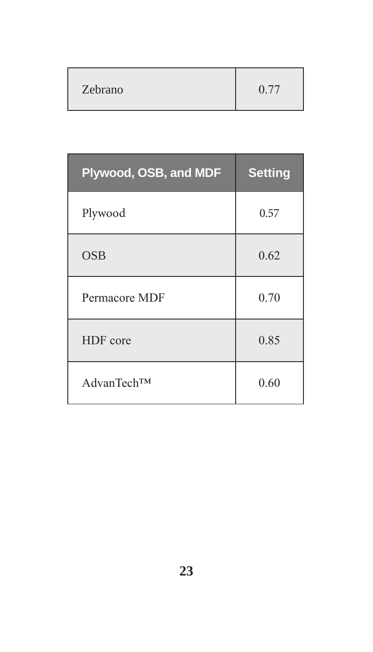| Zebrano |  |
|---------|--|

| Plywood, OSB, and MDF | <b>Setting</b> |
|-----------------------|----------------|
| Plywood               | 0.57           |
| <b>OSB</b>            | 0.62           |
| Permacore MDF         | 0.70           |
| HDF core              | 0.85           |
| AdvanTech™            | 0.60           |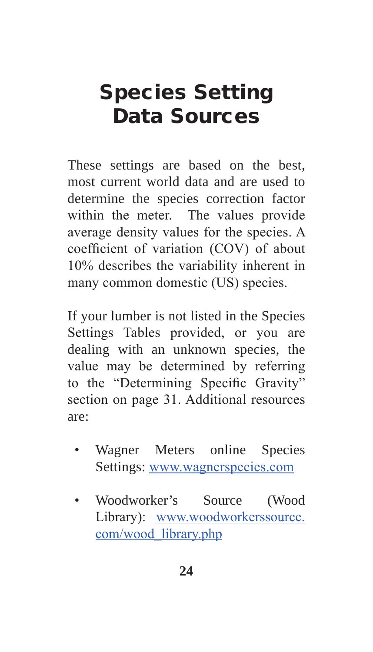# Species Setting Data Sources

These settings are based on the best, most current world data and are used to determine the species correction factor within the meter. The values provide average density values for the species. A coefficient of variation (COV) of about 10% describes the variability inherent in many common domestic (US) species.

If your lumber is not listed in the Species Settings Tables provided, or you are dealing with an unknown species, the value may be determined by referring to the "Determining Specific Gravity" section on page 31. Additional resources are:

- Wagner Meters online Species Settings: www.wagnerspecies.com
- Woodworker's Source (Wood Library): www.woodworkerssource. com/wood\_library.php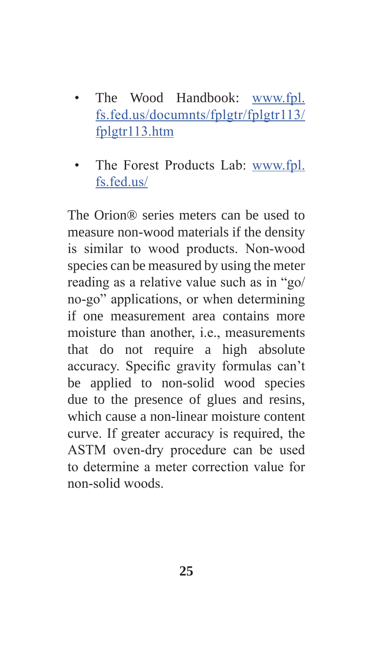- The Wood Handbook: www.fpl. fs.fed.us/documnts/fplgtr/fplgtr113/ fplgtr113.htm
- The Forest Products Lab: www.fpl. fs.fed.us/

The Orion® series meters can be used to measure non-wood materials if the density is similar to wood products. Non-wood species can be measured by using the meter reading as a relative value such as in "go/ no-go" applications, or when determining if one measurement area contains more moisture than another, i.e., measurements that do not require a high absolute accuracy. Specific gravity formulas can't be applied to non-solid wood species due to the presence of glues and resins, which cause a non-linear moisture content curve. If greater accuracy is required, the ASTM oven-dry procedure can be used to determine a meter correction value for non-solid woods.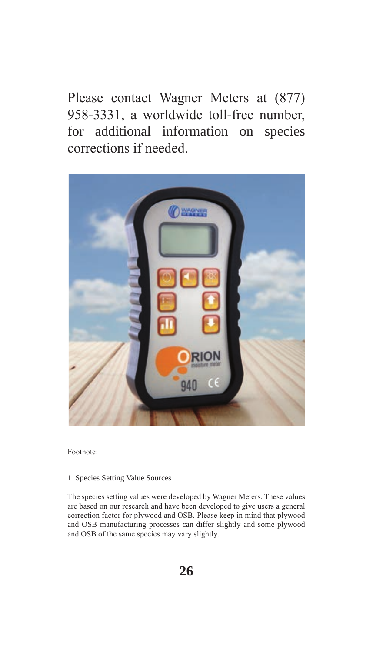Please contact Wagner Meters at (877) 958-3331, a worldwide toll-free number, for additional information on species corrections if needed.



Footnote:

#### 1 Species Setting Value Sources

The species setting values were developed by Wagner Meters. These values are based on our research and have been developed to give users a general correction factor for plywood and OSB. Please keep in mind that plywood and OSB manufacturing processes can differ slightly and some plywood and OSB of the same species may vary slightly.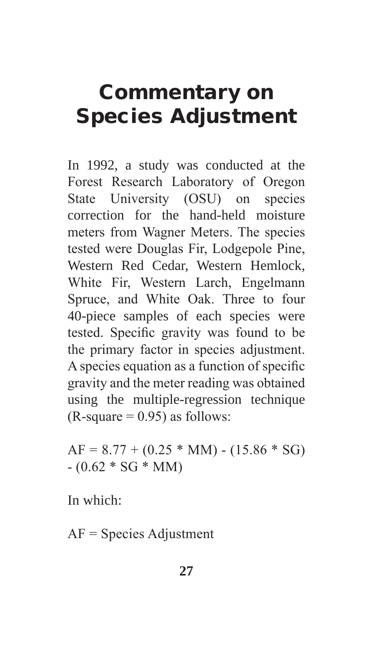## Commentary on Species Adjustment

In 1992, a study was conducted at the Forest Research Laboratory of Oregon State University (OSU) on species correction for the hand-held moisture meters from Wagner Meters. The species tested were Douglas Fir, Lodgepole Pine, Western Red Cedar, Western Hemlock, White Fir, Western Larch, Engelmann Spruce, and White Oak. Three to four 40-piece samples of each species were tested. Specific gravity was found to be the primary factor in species adjustment. A species equation as a function of specific gravity and the meter reading was obtained using the multiple-regression technique  $(R$ -square = 0.95) as follows:

 $AF = 8.77 + (0.25 * MM) - (15.86 * SG)$  $- (0.62 * SG * MM)$ 

In which:

AF = Species Adjustment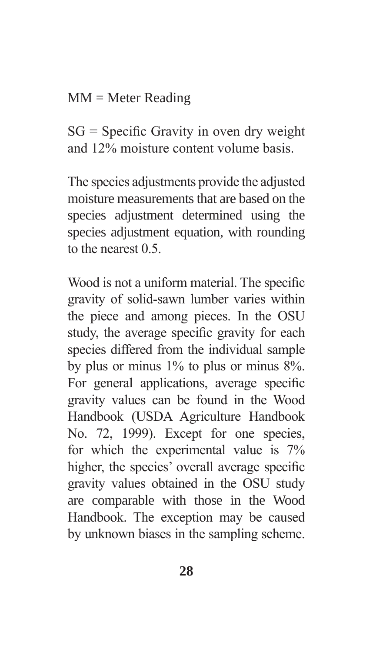$MM =$ Meter Reading

SG = Specific Gravity in oven dry weight and 12% moisture content volume basis.

The species adjustments provide the adjusted moisture measurements that are based on the species adjustment determined using the species adjustment equation, with rounding to the nearest 0.5.

Wood is not a uniform material. The specific gravity of solid-sawn lumber varies within the piece and among pieces. In the OSU study, the average specific gravity for each species differed from the individual sample by plus or minus 1% to plus or minus 8%. For general applications, average specific gravity values can be found in the Wood Handbook (USDA Agriculture Handbook No. 72, 1999). Except for one species, for which the experimental value is 7% higher, the species' overall average specific gravity values obtained in the OSU study are comparable with those in the Wood Handbook. The exception may be caused by unknown biases in the sampling scheme.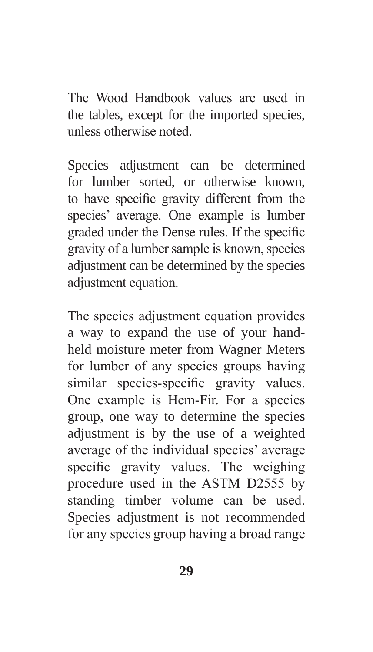The Wood Handbook values are used in the tables, except for the imported species, unless otherwise noted.

Species adjustment can be determined for lumber sorted, or otherwise known, to have specific gravity different from the species' average. One example is lumber graded under the Dense rules. If the specific gravity of a lumber sample is known, species adjustment can be determined by the species adjustment equation.

The species adjustment equation provides a way to expand the use of your handheld moisture meter from Wagner Meters for lumber of any species groups having similar species-specific gravity values. One example is Hem-Fir. For a species group, one way to determine the species adjustment is by the use of a weighted average of the individual species' average specific gravity values. The weighing procedure used in the ASTM D2555 by standing timber volume can be used. Species adjustment is not recommended for any species group having a broad range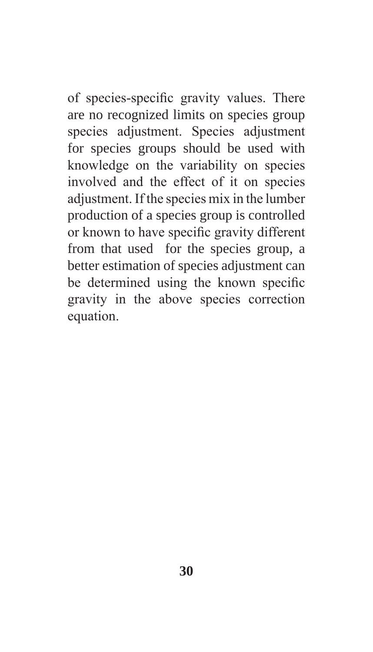of species-specific gravity values. There are no recognized limits on species group species adjustment. Species adjustment for species groups should be used with knowledge on the variability on species involved and the effect of it on species adjustment. If the species mix in the lumber production of a species group is controlled or known to have specific gravity different from that used for the species group, a better estimation of species adjustment can be determined using the known specific gravity in the above species correction equation.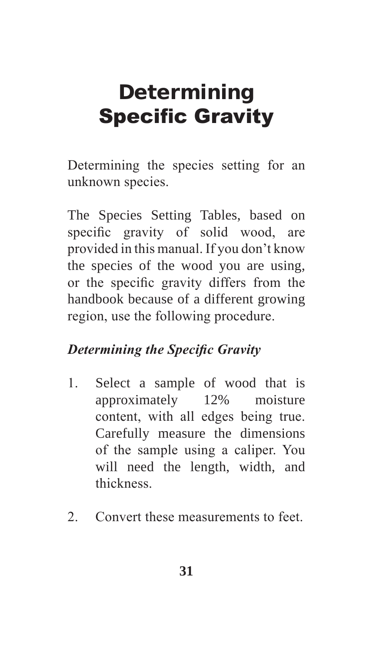# **Determining** Specific Gravity

Determining the species setting for an unknown species.

The Species Setting Tables, based on specific gravity of solid wood, are provided in this manual. If you don't know the species of the wood you are using, or the specific gravity differs from the handbook because of a different growing region, use the following procedure.

## *Determining the Specific Gravity*

- 1. Select a sample of wood that is approximately 12% moisture content, with all edges being true. Carefully measure the dimensions of the sample using a caliper. You will need the length, width, and thickness.
- 2. Convert these measurements to feet.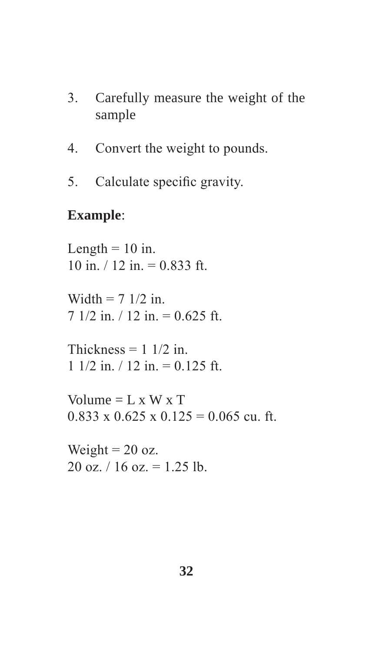- 3. Carefully measure the weight of the sample
- 4. Convert the weight to pounds.
- 5. Calculate specific gravity.

## **Example**:

Length  $= 10$  in. 10 in.  $/ 12$  in. = 0.833 ft.

Width  $= 7$  1/2 in.  $7 \frac{1}{2}$  in.  $\frac{1}{2}$  in. = 0.625 ft.

Thickness  $= 1 \frac{1}{2}$  in. 1 1/2 in.  $/ 12$  in. = 0.125 ft.

Volume  $=$  L x W x T  $0.833 \times 0.625 \times 0.125 = 0.065$  cu. ft.

Weight  $= 20$  oz.  $20$  oz.  $/ 16$  oz.  $= 1.25$  lb.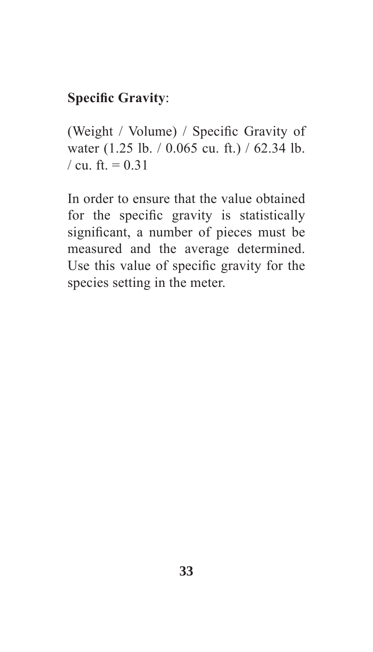### **Specific Gravity**:

(Weight / Volume) / Specific Gravity of water (1.25 lb. / 0.065 cu. ft.) / 62.34 lb.  $/$  cu. ft. = 0.31

In order to ensure that the value obtained for the specific gravity is statistically significant, a number of pieces must be measured and the average determined. Use this value of specific gravity for the species setting in the meter.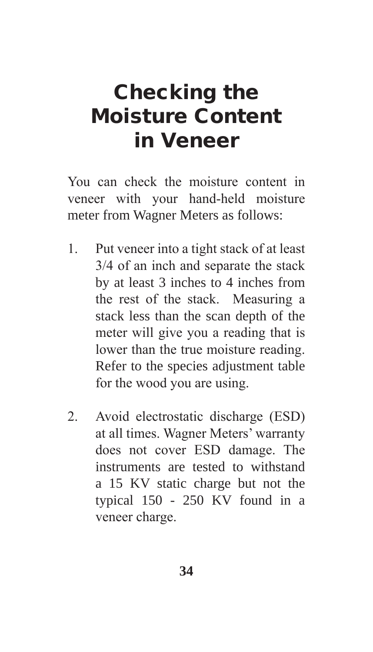## Checking the Moisture Content in Veneer

You can check the moisture content in veneer with your hand-held moisture meter from Wagner Meters as follows:

- 1. Put veneer into a tight stack of at least 3/4 of an inch and separate the stack by at least 3 inches to 4 inches from the rest of the stack. Measuring a stack less than the scan depth of the meter will give you a reading that is lower than the true moisture reading. Refer to the species adjustment table for the wood you are using.
- 2. Avoid electrostatic discharge (ESD) at all times. Wagner Meters' warranty does not cover ESD damage. The instruments are tested to withstand a 15 KV static charge but not the typical 150 - 250 KV found in a veneer charge.